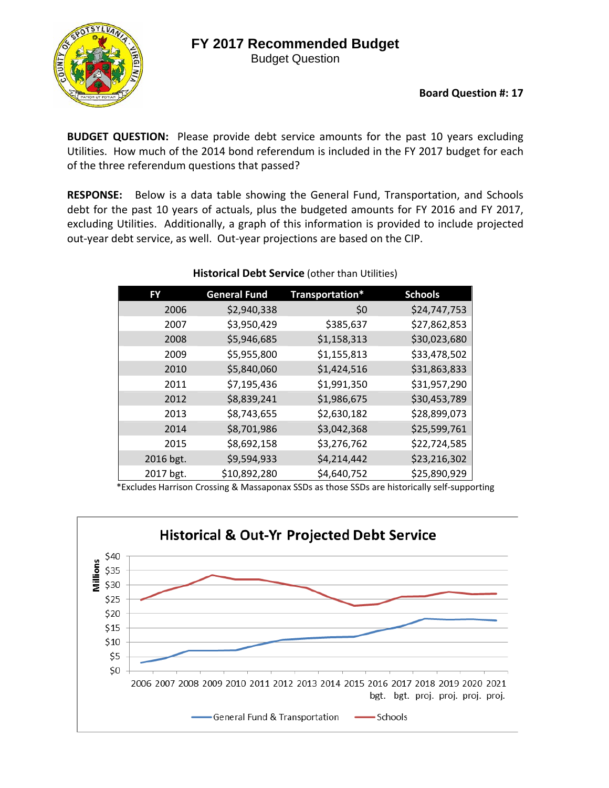## **FY 2017 Recommended Budget**

Budget Question



**Board Question #: 17**

**BUDGET QUESTION:** Please provide debt service amounts for the past 10 years excluding Utilities. How much of the 2014 bond referendum is included in the FY 2017 budget for each of the three referendum questions that passed?

**RESPONSE:** Below is a data table showing the General Fund, Transportation, and Schools debt for the past 10 years of actuals, plus the budgeted amounts for FY 2016 and FY 2017, excluding Utilities. Additionally, a graph of this information is provided to include projected out‐year debt service, as well. Out‐year projections are based on the CIP.

| <b>FY</b> | <b>General Fund</b> | Transportation* | <b>Schools</b> |
|-----------|---------------------|-----------------|----------------|
| 2006      | \$2,940,338         | \$0             | \$24,747,753   |
| 2007      | \$3,950,429         | \$385,637       | \$27,862,853   |
| 2008      | \$5,946,685         | \$1,158,313     | \$30,023,680   |
| 2009      | \$5,955,800         | \$1,155,813     | \$33,478,502   |
| 2010      | \$5,840,060         | \$1,424,516     | \$31,863,833   |
| 2011      | \$7,195,436         | \$1,991,350     | \$31,957,290   |
| 2012      | \$8,839,241         | \$1,986,675     | \$30,453,789   |
| 2013      | \$8,743,655         | \$2,630,182     | \$28,899,073   |
| 2014      | \$8,701,986         | \$3,042,368     | \$25,599,761   |
| 2015      | \$8,692,158         | \$3,276,762     | \$22,724,585   |
| 2016 bgt. | \$9,594,933         | \$4,214,442     | \$23,216,302   |
| 2017 bgt. | \$10,892,280        | \$4,640,752     | \$25,890,929   |

## **Historical Debt Service** (other than Utilities)

\*Excludes Harrison Crossing & Massaponax SSDs as those SSDs are historically self‐supporting